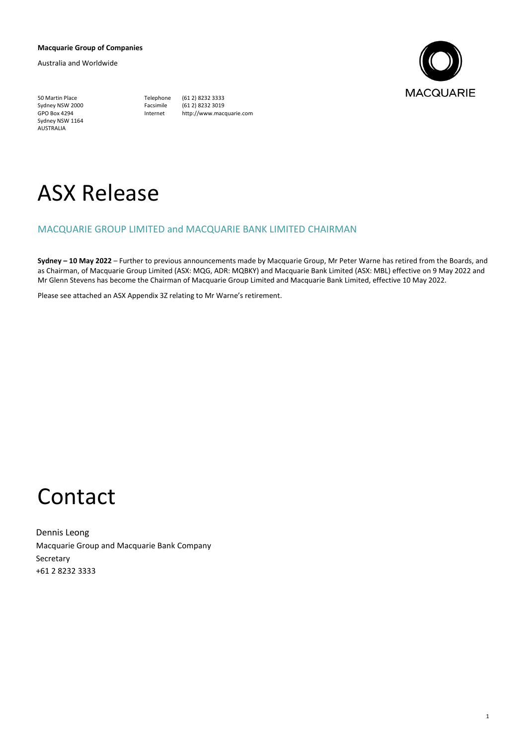### **Macquarie Group of Companies**

Australia and Worldwide



50 Martin Place Telephone (61 2) 8232 3333 Sydney NSW 2000<br>GPO Box 4294 Sydney NSW 1164 AUSTRALIA

Internet http://www.macquarie.com

# ASX Release

### MACQUARIE GROUP LIMITED and MACQUARIE BANK LIMITED CHAIRMAN

**Sydney – 10 May 2022** – Further to previous announcements made by Macquarie Group, Mr Peter Warne has retired from the Boards, and as Chairman, of Macquarie Group Limited (ASX: MQG, ADR: MQBKY) and Macquarie Bank Limited (ASX: MBL) effective on 9 May 2022 and Mr Glenn Stevens has become the Chairman of Macquarie Group Limited and Macquarie Bank Limited, effective 10 May 2022.

Please see attached an ASX Appendix 3Z relating to Mr Warne's retirement.

## Contact

Dennis Leong Macquarie Group and Macquarie Bank Company Secretary +61 2 8232 3333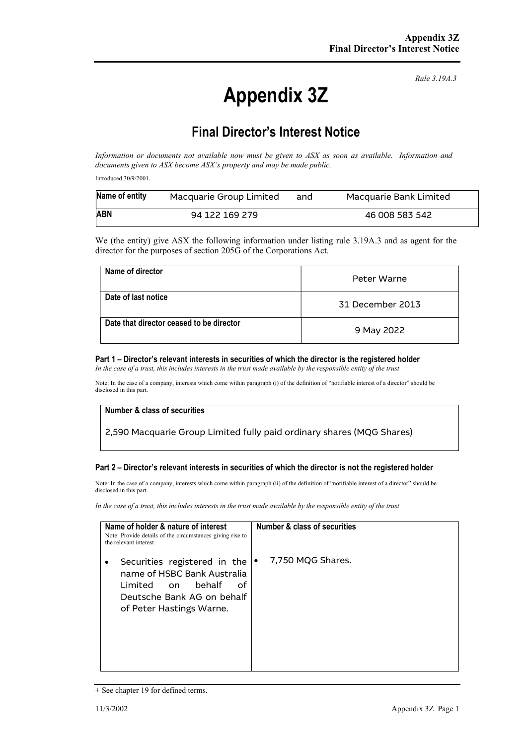# Appendix 3Z

Rule 3.19A.3

## Final Director's Interest Notice

Information or documents not available now must be given to ASX as soon as available. Information and documents given to ASX become ASX's property and may be made public.

Introduced 30/9/2001.

| Name of entity               | Macquarie Group Limited | and | Macquarie Bank Limited |
|------------------------------|-------------------------|-----|------------------------|
| <b>ABN</b><br>94 122 169 279 |                         |     | 46 008 583 542         |

We (the entity) give ASX the following information under listing rule 3.19A.3 and as agent for the director for the purposes of section 205G of the Corporations Act.

| Name of director                         | Peter Warne      |
|------------------------------------------|------------------|
| Date of last notice                      | 31 December 2013 |
| Date that director ceased to be director | 9 May 2022       |

#### Part 1 – Director's relevant interests in securities of which the director is the registered holder

In the case of a trust, this includes interests in the trust made available by the responsible entity of the trust

Note: In the case of a company, interests which come within paragraph (i) of the definition of "notifiable interest of a director" should be disclosed in this part.

### Number & class of securities

2,590 Macquarie Group Limited fully paid ordinary shares (MQG Shares)

### Part 2 – Director's relevant interests in securities of which the director is not the registered holder

Note: In the case of a company, interests which come within paragraph (ii) of the definition of "notifiable interest of a director" should be disclosed in this part.

In the case of a trust, this includes interests in the trust made available by the responsible entity of the trust

| Name of holder & nature of interest<br>Note: Provide details of the circumstances giving rise to<br>the relevant interest                              | Number & class of securities |
|--------------------------------------------------------------------------------------------------------------------------------------------------------|------------------------------|
| Securities registered in the<br>name of HSBC Bank Australia<br>behalf<br>of<br>Limited<br>on<br>Deutsche Bank AG on behalf<br>of Peter Hastings Warne. | 7,750 MQG Shares.            |

<sup>+</sup> See chapter 19 for defined terms.